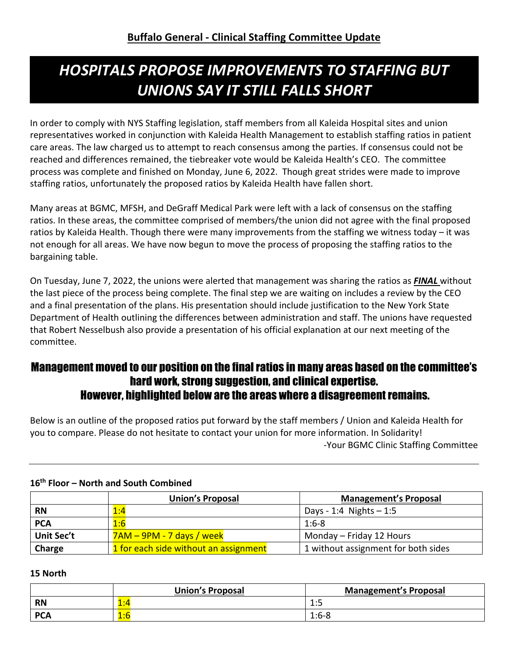# *HOSPITALS PROPOSE IMPROVEMENTS TO STAFFING BUT UNIONS SAY IT STILL FALLS SHORT*

In order to comply with NYS Staffing legislation, staff members from all Kaleida Hospital sites and union representatives worked in conjunction with Kaleida Health Management to establish staffing ratios in patient care areas. The law charged us to attempt to reach consensus among the parties. If consensus could not be reached and differences remained, the tiebreaker vote would be Kaleida Health's CEO. The committee process was complete and finished on Monday, June 6, 2022. Though great strides were made to improve staffing ratios, unfortunately the proposed ratios by Kaleida Health have fallen short.

Many areas at BGMC, MFSH, and DeGraff Medical Park were left with a lack of consensus on the staffing ratios. In these areas, the committee comprised of members/the union did not agree with the final proposed ratios by Kaleida Health. Though there were many improvements from the staffing we witness today – it was not enough for all areas. We have now begun to move the process of proposing the staffing ratios to the bargaining table.

On Tuesday, June 7, 2022, the unions were alerted that management was sharing the ratios as *FINAL* without the last piece of the process being complete. The final step we are waiting on includes a review by the CEO and a final presentation of the plans. His presentation should include justification to the New York State Department of Health outlining the differences between administration and staff. The unions have requested that Robert Nesselbush also provide a presentation of his official explanation at our next meeting of the committee.

# Management moved to our position on the final ratios in many areas based on the committee's hard work, strong suggestion, and clinical expertise. However, highlighted below are the areas where a disagreement remains.

Below is an outline of the proposed ratios put forward by the staff members / Union and Kaleida Health for you to compare. Please do not hesitate to contact your union for more information. In Solidarity! -Your BGMC Clinic Staffing Committee

|            | <b>Union's Proposal</b>               | <b>Management's Proposal</b>        |
|------------|---------------------------------------|-------------------------------------|
| <b>RN</b>  | 1:4                                   | Days - 1:4 Nights $-1:5$            |
| <b>PCA</b> | 1:6                                   | $1:6-8$                             |
| Unit Sec't | 7AM – 9PM - 7 days / week             | Monday – Friday 12 Hours            |
| Charge     | 1 for each side without an assignment | 1 without assignment for both sides |

# **16th Floor – North and South Combined**

## **15 North**

|            | <b>Union's Proposal</b>       | <b>Management's Proposal</b> |
|------------|-------------------------------|------------------------------|
| <b>RN</b>  | $\mathbf{A} \cdot \mathbf{A}$ | 1 ・ ロ                        |
| <b>PCA</b> | 1:6                           | $1:6-8$                      |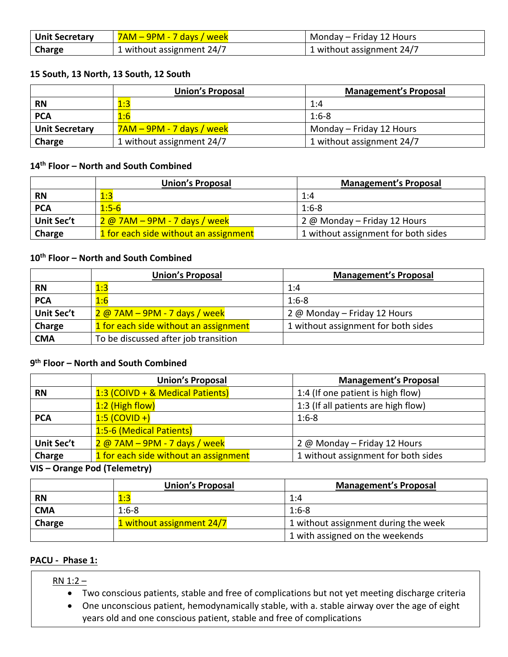| Unit Secretary | <mark>7AM – 9PM - 7 days / week</mark> | Monday – Friday 12 Hours  |
|----------------|----------------------------------------|---------------------------|
| Charge         | 1 without assignment 24/7              | 1 without assignment 24/7 |

### **15 South, 13 North, 13 South, 12 South**

|                       | <b>Union's Proposal</b>   | <b>Management's Proposal</b> |
|-----------------------|---------------------------|------------------------------|
| <b>RN</b>             | 1:3                       | 1:4                          |
| <b>PCA</b>            | 1:6                       | $1:6-8$                      |
| <b>Unit Secretary</b> | 7AM – 9PM - 7 days / week | Monday – Friday 12 Hours     |
| <b>Charge</b>         | 1 without assignment 24/7 | 1 without assignment 24/7    |

### **14th Floor – North and South Combined**

|                   | <b>Union's Proposal</b>               | <b>Management's Proposal</b>        |
|-------------------|---------------------------------------|-------------------------------------|
| <b>RN</b>         | 1:3                                   | 1:4                                 |
| <b>PCA</b>        | $1:5-6$                               | $1:6-8$                             |
| <b>Unit Sec't</b> | $2\omega$ 7AM – 9PM - 7 days / week   | 2 @ Monday - Friday 12 Hours        |
| Charge            | 1 for each side without an assignment | 1 without assignment for both sides |

# **10th Floor – North and South Combined**

|                   | <b>Union's Proposal</b>               | <b>Management's Proposal</b>        |
|-------------------|---------------------------------------|-------------------------------------|
| <b>RN</b>         | 1:3                                   | 1:4                                 |
| <b>PCA</b>        | 1:6                                   | $1:6-8$                             |
| <b>Unit Sec't</b> | 2 @ 7AM - 9PM - 7 days / week         | 2 @ Monday - Friday 12 Hours        |
| Charge            | 1 for each side without an assignment | 1 without assignment for both sides |
| <b>CMA</b>        | To be discussed after job transition  |                                     |

#### **9th Floor – North and South Combined**

|                   | <b>Union's Proposal</b>               | <b>Management's Proposal</b>        |
|-------------------|---------------------------------------|-------------------------------------|
| <b>RN</b>         | 1:3 (COIVD + & Medical Patients)      | 1:4 (If one patient is high flow)   |
|                   | 1:2 (High flow)                       | 1:3 (If all patients are high flow) |
| <b>PCA</b>        | $1:5$ (COVID +)                       | $1:6-8$                             |
|                   | 1:5-6 (Medical Patients)              |                                     |
| <b>Unit Sec't</b> | $2@7AM - 9PM - 7 days / week$         | 2 @ Monday - Friday 12 Hours        |
| Charge            | 1 for each side without an assignment | 1 without assignment for both sides |

#### **VIS – Orange Pod (Telemetry)**

|            | <b>Union's Proposal</b>   | <b>Management's Proposal</b>         |
|------------|---------------------------|--------------------------------------|
| <b>RN</b>  | 1:3                       | 1:4                                  |
| <b>CMA</b> | $1:6-8$                   | $1:6-8$                              |
| Charge     | 1 without assignment 24/7 | 1 without assignment during the week |
|            |                           | 1 with assigned on the weekends      |

#### **PACU - Phase 1:**

#### RN 1:2 –

- Two conscious patients, stable and free of complications but not yet meeting discharge criteria
- One unconscious patient, hemodynamically stable, with a. stable airway over the age of eight years old and one conscious patient, stable and free of complications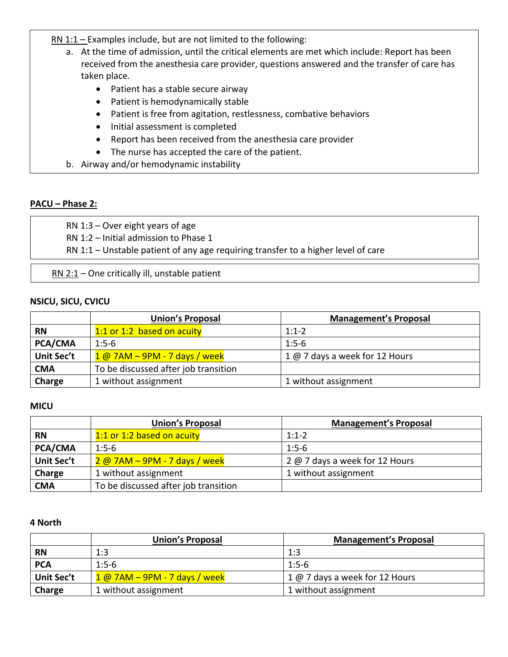$RN 1:1 - Examples$  include, but are not limited to the following:

- a. At the time of admission, until the critical elements are met which include: Report has been received from the anesthesia care provider, questions answered and the transfer of care has taken place.
	- Patient has a stable secure airway
	- Patient is hemodynamically stable
	- Patient is free from agitation, restlessness, combative behaviors
	- Initial assessment is completed
	- Report has been received from the anesthesia care provider
	- The nurse has accepted the care of the patient.
- b. Airway and/or hemodynamic instability

#### **PACU – Phase 2:**

RN 1:3 – Over eight years of age

RN 1:2 – Initial admission to Phase 1

RN 1:1 – Unstable patient of any age requiring transfer to a higher level of care

RN 2:1 – One critically ill, unstable patient

#### **NSICU, SICU, CVICU**

|                | <b>Union's Proposal</b>              | <b>Management's Proposal</b>   |
|----------------|--------------------------------------|--------------------------------|
| <b>RN</b>      | 1:1 or 1:2 based on acuity           | $1:1-2$                        |
| <b>PCA/CMA</b> | $1:5-6$                              | $1:5-6$                        |
| Unit Sec't     | $1@7AM - 9PM - 7 days / week$        | 1 @ 7 days a week for 12 Hours |
| <b>CMA</b>     | To be discussed after job transition |                                |
| Charge         | 1 without assignment                 | 1 without assignment           |

#### **MICU**

|                | <b>Union's Proposal</b>              | <b>Management's Proposal</b>   |
|----------------|--------------------------------------|--------------------------------|
| <b>RN</b>      | 1:1 or 1:2 based on acuity           | $1:1-2$                        |
| <b>PCA/CMA</b> | $1:5-6$                              | $1:5-6$                        |
| Unit Sec't     | 2 @ 7AM - 9PM - 7 days / week        | 2 @ 7 days a week for 12 Hours |
| Charge         | 1 without assignment                 | 1 without assignment           |
| <b>CMA</b>     | To be discussed after job transition |                                |

#### **4 North**

|                   | <b>Union's Proposal</b>        | <b>Management's Proposal</b>   |
|-------------------|--------------------------------|--------------------------------|
| <b>RN</b>         | 1:3                            | 1:3                            |
| <b>PCA</b>        | $1:5-6$                        | $1:5-6$                        |
| <b>Unit Sec't</b> | $1@$ 7AM – 9PM - 7 days / week | 1 @ 7 days a week for 12 Hours |
| Charge            | 1 without assignment           | 1 without assignment           |